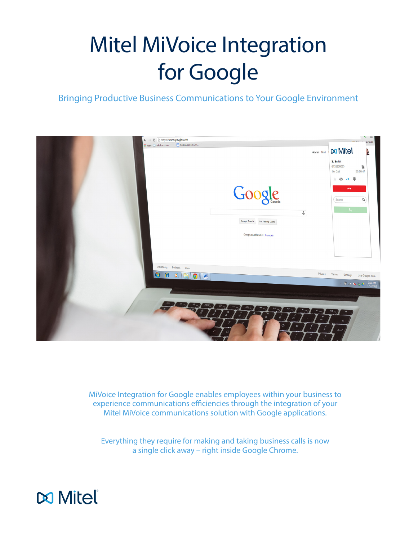# Mitel MiVoice Integration for Google

## Bringing Productive Business Communications to Your Google Environment



MiVoice Integration for Google enables employees within your business to experience communications efficiencies through the integration of your Mitel MiVoice communications solution with Google applications.

Everything they require for making and taking business calls is now a single click away – right inside Google Chrome.

![](_page_0_Picture_5.jpeg)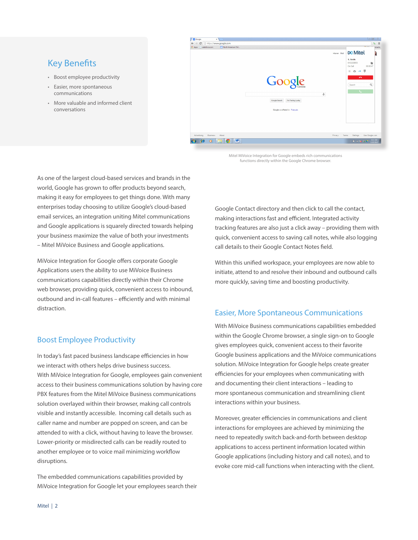## Key Benefits

- Boost employee productivity
- Easier, more spontaneous communications
- More valuable and informed client conversations

![](_page_1_Picture_4.jpeg)

Mitel MiVoice Integration for Google embeds rich communications functions directly within the Google Chrome browser.

As one of the largest cloud-based services and brands in the world, Google has grown to offer products beyond search, making it easy for employees to get things done. With many enterprises today choosing to utilize Google's cloud-based email services, an integration uniting Mitel communications and Google applications is squarely directed towards helping your business maximize the value of both your investments – Mitel MiVoice Business and Google applications.

MiVoice Integration for Google offers corporate Google Applications users the ability to use MiVoice Business communications capabilities directly within their Chrome web browser, providing quick, convenient access to inbound, outbound and in-call features – efficiently and with minimal distraction.

#### Boost Employee Productivity

In today's fast paced business landscape efficiencies in how we interact with others helps drive business success. With MiVoice Integration for Google, employees gain convenient access to their business communications solution by having core PBX features from the Mitel MiVoice Business communications solution overlayed within their browser, making call controls visible and instantly accessible. Incoming call details such as caller name and number are popped on screen, and can be attended to with a click, without having to leave the browser. Lower-priority or misdirected calls can be readily routed to another employee or to voice mail minimizing workflow disruptions.

The embedded communications capabilities provided by MiVoice Integration for Google let your employees search their Google Contact directory and then click to call the contact, making interactions fast and efficient. Integrated activity tracking features are also just a click away – providing them with quick, convenient access to saving call notes, while also logging call details to their Google Contact Notes field.

Within this unified workspace, your employees are now able to initiate, attend to and resolve their inbound and outbound calls more quickly, saving time and boosting productivity.

#### Easier, More Spontaneous Communications

With MiVoice Business communications capabilities embedded within the Google Chrome browser, a single sign-on to Google gives employees quick, convenient access to their favorite Google business applications and the MiVoice communications solution. MiVoice Integration for Google helps create greater efficiencies for your employees when communicating with and documenting their client interactions – leading to more spontaneous communication and streamlining client interactions within your business.

Moreover, greater efficiencies in communications and client interactions for employees are achieved by minimizing the need to repeatedly switch back-and-forth between desktop applications to access pertinent information located within Google applications (including history and call notes), and to evoke core mid-call functions when interacting with the client.